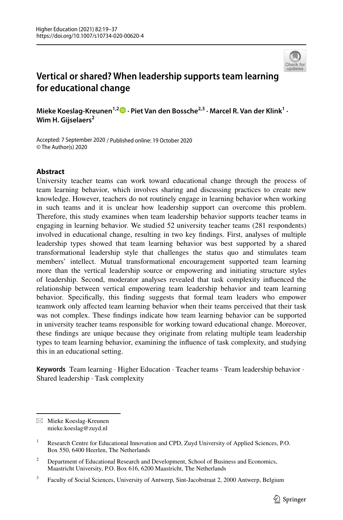

# **Vertical or shared? When leadership supports team learning for educational change**

**Mieke Koeslag‑Kreunen1,[2](http://orcid.org/0000-0003-1729-8563) · Piet Van den Bossche2,3 · Marcel R. Van der Klink1 · Wim H. Gijselaers<sup>2</sup>**

Accepted: 7 September 2020 / Published online: 19 October 2020 © The Author(s) 2020

# **Abstract**

University teacher teams can work toward educational change through the process of team learning behavior, which involves sharing and discussing practices to create new knowledge. However, teachers do not routinely engage in learning behavior when working in such teams and it is unclear how leadership support can overcome this problem. Therefore, this study examines when team leadership behavior supports teacher teams in engaging in learning behavior. We studied 52 university teacher teams (281 respondents) involved in educational change, resulting in two key fndings. First, analyses of multiple leadership types showed that team learning behavior was best supported by a shared transformational leadership style that challenges the status quo and stimulates team members' intellect. Mutual transformational encouragement supported team learning more than the vertical leadership source or empowering and initiating structure styles of leadership. Second, moderator analyses revealed that task complexity infuenced the relationship between vertical empowering team leadership behavior and team learning behavior. Specifcally, this fnding suggests that formal team leaders who empower teamwork only afected team learning behavior when their teams perceived that their task was not complex. These fndings indicate how team learning behavior can be supported in university teacher teams responsible for working toward educational change. Moreover, these fndings are unique because they originate from relating multiple team leadership types to team learning behavior, examining the infuence of task complexity, and studying this in an educational setting.

**Keywords** Team learning · Higher Education · Teacher teams · Team leadership behavior · Shared leadership · Task complexity

 $\boxtimes$  Mieke Koeslag-Kreunen mieke.koeslag@zuyd.nl

<sup>&</sup>lt;sup>1</sup> Research Centre for Educational Innovation and CPD, Zuyd University of Applied Sciences, P.O. Box 550, 6400 Heerlen, The Netherlands

<sup>&</sup>lt;sup>2</sup> Department of Educational Research and Development, School of Business and Economics, Maastricht University, P.O. Box 616, 6200 Maastricht, The Netherlands

<sup>&</sup>lt;sup>3</sup> Faculty of Social Sciences, University of Antwerp, Sint-Jacobstraat 2, 2000 Antwerp, Belgium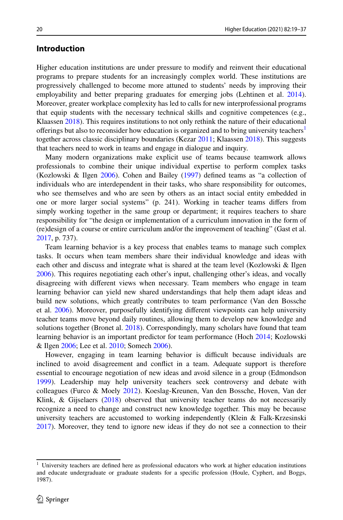# **Introduction**

Higher education institutions are under pressure to modify and reinvent their educational programs to prepare students for an increasingly complex world. These institutions are progressively challenged to become more attuned to students' needs by improving their employability and better preparing graduates for emerging jobs (Lehtinen et al. [2014](#page-17-0)). Moreover, greater workplace complexity has led to calls for new interprofessional programs that equip students with the necessary technical skills and cognitive competences (e.g., Klaassen [2018](#page-17-1)). This requires institutions to not only rethink the nature of their educational offerings but also to reconsider how education is organized and to bring university teachers<sup>[1](#page-1-0)</sup> together across classic disciplinary boundaries (Kezar [2011;](#page-17-2) Klaassen [2018](#page-17-1)). This suggests that teachers need to work in teams and engage in dialogue and inquiry.

Many modern organizations make explicit use of teams because teamwork allows professionals to combine their unique individual expertise to perform complex tasks (Kozlowski & Ilgen [2006\)](#page-17-3). Cohen and Bailey [\(1997](#page-16-0)) defned teams as "a collection of individuals who are interdependent in their tasks, who share responsibility for outcomes, who see themselves and who are seen by others as an intact social entity embedded in one or more larger social systems" (p. 241). Working in teacher teams difers from simply working together in the same group or department; it requires teachers to share responsibility for "the design or implementation of a curriculum innovation in the form of (re)design of a course or entire curriculum and/or the improvement of teaching" (Gast et al. [2017,](#page-16-1) p. 737).

Team learning behavior is a key process that enables teams to manage such complex tasks. It occurs when team members share their individual knowledge and ideas with each other and discuss and integrate what is shared at the team level (Kozlowski & Ilgen [2006\)](#page-17-3). This requires negotiating each other's input, challenging other's ideas, and vocally disagreeing with diferent views when necessary. Team members who engage in team learning behavior can yield new shared understandings that help them adapt ideas and build new solutions, which greatly contributes to team performance (Van den Bossche et al. [2006\)](#page-18-0). Moreover, purposefully identifying diferent viewpoints can help university teacher teams move beyond daily routines, allowing them to develop new knowledge and solutions together (Bronet al. [2018](#page-16-2)). Correspondingly, many scholars have found that team learning behavior is an important predictor for team performance (Hoch [2014](#page-16-3); Kozlowski & Ilgen [2006](#page-17-3); Lee et al. [2010;](#page-17-4) Somech [2006\)](#page-17-5).

However, engaging in team learning behavior is difficult because individuals are inclined to avoid disagreement and confict in a team. Adequate support is therefore essential to encourage negotiation of new ideas and avoid silence in a group (Edmondson [1999\)](#page-16-4). Leadership may help university teachers seek controversy and debate with colleagues (Furco & Moely [2012\)](#page-16-5). Koeslag-Kreunen, Van den Bossche, Hoven, Van der Klink, & Gijselaers [\(2018](#page-17-6)) observed that university teacher teams do not necessarily recognize a need to change and construct new knowledge together. This may be because university teachers are accustomed to working independently (Klein & Falk-Krzesinski [2017\)](#page-17-7). Moreover, they tend to ignore new ideas if they do not see a connection to their

<span id="page-1-0"></span><sup>&</sup>lt;sup>1</sup> University teachers are defined here as professional educators who work at higher education institutions and educate undergraduate or graduate students for a specifc profession (Houle, Cyphert, and Boggs, 1987).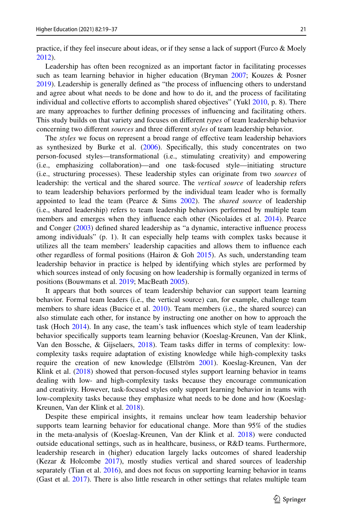practice, if they feel insecure about ideas, or if they sense a lack of support (Furco & Moely [2012\)](#page-16-5).

Leadership has often been recognized as an important factor in facilitating processes such as team learning behavior in higher education (Bryman [2007](#page-16-6); Kouzes & Posner [2019\)](#page-17-8). Leadership is generally defned as "the process of infuencing others to understand and agree about what needs to be done and how to do it, and the process of facilitating individual and collective efforts to accomplish shared objectives" (Yukl [2010,](#page-18-1) p. 8). There are many approaches to further defning processes of infuencing and facilitating others. This study builds on that variety and focuses on diferent *types* of team leadership behavior concerning two diferent *sources* and three diferent *styles* of team leadership behavior.

The *styles* we focus on represent a broad range of efective team leadership behaviors as synthesized by Burke et al.  $(2006)$  $(2006)$ . Specifically, this study concentrates on two person-focused styles—transformational (i.e., stimulating creativity) and empowering (i.e., emphasizing collaboration)—and one task-focused style—initiating structure (i.e., structuring processes). These leadership styles can originate from two *sources* of leadership: the vertical and the shared source. The *vertical source* of leadership refers to team leadership behaviors performed by the individual team leader who is formally appointed to lead the team (Pearce & Sims [2002](#page-17-9)). The *shared source* of leadership (i.e., shared leadership) refers to team leadership behaviors performed by multiple team members and emerges when they infuence each other (Nicolaides et al. [2014\)](#page-17-10). Pearce and Conger [\(2003](#page-17-11)) defned shared leadership as "a dynamic, interactive infuence process among individuals" (p. 1). It can especially help teams with complex tasks because it utilizes all the team members' leadership capacities and allows them to infuence each other regardless of formal positions (Hairon & Goh  $2015$ ). As such, understanding team leadership behavior in practice is helped by identifying which styles are performed by which sources instead of only focusing on how leadership is formally organized in terms of positions (Bouwmans et al. [2019;](#page-16-9) MacBeath [2005](#page-17-12)).

It appears that both sources of team leadership behavior can support team learning behavior. Formal team leaders (i.e., the vertical source) can, for example, challenge team members to share ideas (Bucice et al. [2010\)](#page-16-10). Team members (i.e., the shared source) can also stimulate each other, for instance by instructing one another on how to approach the task (Hoch [2014](#page-16-3)). In any case, the team's task infuences which style of team leadership behavior specifcally supports team learning behavior (Koeslag-Kreunen, Van der Klink, Van den Bossche, & Gijselaers, [2018\)](#page-17-13). Team tasks difer in terms of complexity: lowcomplexity tasks require adaptation of existing knowledge while high-complexity tasks require the creation of new knowledge (Ellström [2001](#page-16-11)). Koeslag-Kreunen, Van der Klink et al. [\(2018](#page-17-13)) showed that person-focused styles support learning behavior in teams dealing with low- and high-complexity tasks because they encourage communication and creativity. However, task-focused styles only support learning behavior in teams with low-complexity tasks because they emphasize what needs to be done and how (Koeslag-Kreunen, Van der Klink et al. [2018\)](#page-17-13).

Despite these empirical insights, it remains unclear how team leadership behavior supports team learning behavior for educational change. More than 95% of the studies in the meta-analysis of (Koeslag-Kreunen, Van der Klink et al. [2018\)](#page-17-13) were conducted outside educational settings, such as in healthcare, business, or R&D teams. Furthermore, leadership research in (higher) education largely lacks outcomes of shared leadership (Kezar & Holcombe [2017](#page-17-14)), mostly studies vertical and shared sources of leadership separately (Tian et al. [2016\)](#page-17-15), and does not focus on supporting learning behavior in teams (Gast et al. [2017\)](#page-16-1). There is also little research in other settings that relates multiple team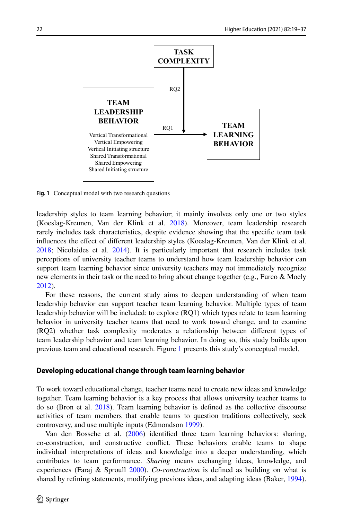

<span id="page-3-0"></span>**Fig. 1** Conceptual model with two research questions

leadership styles to team learning behavior; it mainly involves only one or two styles (Koeslag-Kreunen, Van der Klink et al. [2018\)](#page-17-13). Moreover, team leadership research rarely includes task characteristics, despite evidence showing that the specifc team task infuences the efect of diferent leadership styles (Koeslag-Kreunen, Van der Klink et al. [2018;](#page-17-13) Nicolaides et al. [2014](#page-17-10)). It is particularly important that research includes task perceptions of university teacher teams to understand how team leadership behavior can support team learning behavior since university teachers may not immediately recognize new elements in their task or the need to bring about change together (e.g., Furco & Moely [2012\)](#page-16-5).

For these reasons, the current study aims to deepen understanding of when team leadership behavior can support teacher team learning behavior. Multiple types of team leadership behavior will be included: to explore (RQ1) which types relate to team learning behavior in university teacher teams that need to work toward change, and to examine (RQ2) whether task complexity moderates a relationship between diferent types of team leadership behavior and team learning behavior. In doing so, this study builds upon previous team and educational research. Figure [1](#page-3-0) presents this study's conceptual model.

#### **Developing educational change through team learning behavior**

To work toward educational change, teacher teams need to create new ideas and knowledge together. Team learning behavior is a key process that allows university teacher teams to do so (Bron et al. [2018\)](#page-16-2). Team learning behavior is defned as the collective discourse activities of team members that enable teams to question traditions collectively, seek controversy, and use multiple inputs (Edmondson [1999](#page-16-4)).

Van den Bossche et al. [\(2006](#page-18-0)) identifed three team learning behaviors: sharing, co-construction, and constructive confict. These behaviors enable teams to shape individual interpretations of ideas and knowledge into a deeper understanding, which contributes to team performance. *Sharing* means exchanging ideas, knowledge, and experiences (Faraj & Sproull [2000\)](#page-16-12). *Co-construction* is defned as building on what is shared by refning statements, modifying previous ideas, and adapting ideas (Baker, [1994](#page-16-13)).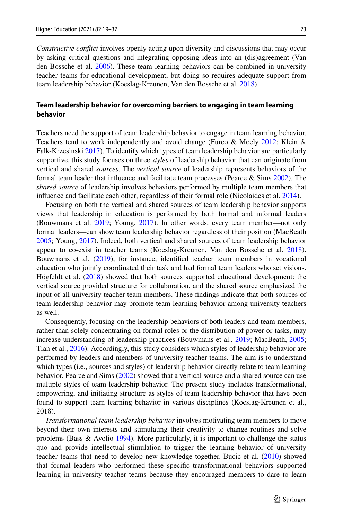*Constructive confict* involves openly acting upon diversity and discussions that may occur by asking critical questions and integrating opposing ideas into an (dis)agreement (Van den Bossche et al. [2006](#page-18-0)). These team learning behaviors can be combined in university teacher teams for educational development, but doing so requires adequate support from team leadership behavior (Koeslag-Kreunen, Van den Bossche et al. [2018](#page-17-6)).

# **Team leadership behavior for overcoming barriers to engaging in team learning behavior**

Teachers need the support of team leadership behavior to engage in team learning behavior. Teachers tend to work independently and avoid change (Furco & Moely [2012](#page-16-5); Klein & Falk-Krzesinski [2017](#page-17-7)). To identify which types of team leadership behavior are particularly supportive, this study focuses on three *styles* of leadership behavior that can originate from vertical and shared *sources*. The *vertical source* of leadership represents behaviors of the formal team leader that infuence and facilitate team processes (Pearce & Sims [2002\)](#page-17-9). The *shared source* of leadership involves behaviors performed by multiple team members that infuence and facilitate each other, regardless of their formal role (Nicolaides et al. [2014\)](#page-17-10).

Focusing on both the vertical and shared sources of team leadership behavior supports views that leadership in education is performed by both formal and informal leaders (Bouwmans et al. [2019;](#page-16-9) Young, [2017](#page-18-2)). In other words, every team member—not only formal leaders—can show team leadership behavior regardless of their position (MacBeath [2005;](#page-17-12) Young, [2017\)](#page-18-2). Indeed, both vertical and shared sources of team leadership behavior appear to co-exist in teacher teams (Koeslag-Kreunen, Van den Bossche et al. [2018](#page-17-6)). Bouwmans et al. ([2019\)](#page-16-9), for instance, identifed teacher team members in vocational education who jointly coordinated their task and had formal team leaders who set visions. Högfeldt et al. ([2018\)](#page-16-14) showed that both sources supported educational development: the vertical source provided structure for collaboration, and the shared source emphasized the input of all university teacher team members. These fndings indicate that both sources of team leadership behavior may promote team learning behavior among university teachers as well.

Consequently, focusing on the leadership behaviors of both leaders and team members, rather than solely concentrating on formal roles or the distribution of power or tasks, may increase understanding of leadership practices (Bouwmans et al., [2019;](#page-16-9) MacBeath, [2005;](#page-17-12) Tian et al., [2016\)](#page-17-15). Accordingly, this study considers which styles of leadership behavior are performed by leaders and members of university teacher teams. The aim is to understand which types (i.e., sources and styles) of leadership behavior directly relate to team learning behavior. Pearce and Sims ([2002\)](#page-17-9) showed that a vertical source and a shared source can use multiple styles of team leadership behavior. The present study includes transformational, empowering, and initiating structure as styles of team leadership behavior that have been found to support team learning behavior in various disciplines (Koeslag-Kreunen et al., 2018).

*Transformational team leadership behavior* involves motivating team members to move beyond their own interests and stimulating their creativity to change routines and solve problems (Bass & Avolio [1994](#page-16-15)). More particularly, it is important to challenge the status quo and provide intellectual stimulation to trigger the learning behavior of university teacher teams that need to develop new knowledge together. Bucic et al. [\(2010](#page-16-10)) showed that formal leaders who performed these specifc transformational behaviors supported learning in university teacher teams because they encouraged members to dare to learn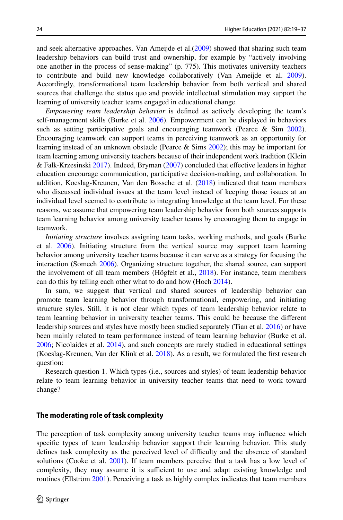and seek alternative approaches. Van Ameijde et al.[\(2009](#page-17-16)) showed that sharing such team leadership behaviors can build trust and ownership, for example by "actively involving one another in the process of sense-making" (p. 775). This motivates university teachers to contribute and build new knowledge collaboratively (Van Ameijde et al. [2009](#page-17-16)). Accordingly, transformational team leadership behavior from both vertical and shared sources that challenge the status quo and provide intellectual stimulation may support the learning of university teacher teams engaged in educational change.

*Empowering team leadership behavior* is defned as actively developing the team's self-management skills (Burke et al. [2006\)](#page-16-7). Empowerment can be displayed in behaviors such as setting participative goals and encouraging teamwork (Pearce & Sim [2002](#page-17-9)). Encouraging teamwork can support teams in perceiving teamwork as an opportunity for learning instead of an unknown obstacle (Pearce & Sims [2002](#page-17-9)); this may be important for team learning among university teachers because of their independent work tradition (Klein & Falk-Krzesinski [2017\)](#page-17-7). Indeed, Bryman [\(2007](#page-16-6)) concluded that efective leaders in higher education encourage communication, participative decision-making, and collaboration. In addition, Koeslag-Kreunen, Van den Bossche et al. ([2018\)](#page-17-6) indicated that team members who discussed individual issues at the team level instead of keeping those issues at an individual level seemed to contribute to integrating knowledge at the team level. For these reasons, we assume that empowering team leadership behavior from both sources supports team learning behavior among university teacher teams by encouraging them to engage in teamwork.

*Initiating structure* involves assigning team tasks, working methods, and goals (Burke) et al. [2006\)](#page-16-7). Initiating structure from the vertical source may support team learning behavior among university teacher teams because it can serve as a strategy for focusing the interaction (Somech [2006\)](#page-17-5). Organizing structure together, the shared source, can support the involvement of all team members (Högfelt et al., [2018](#page-16-14)). For instance, team members can do this by telling each other what to do and how (Hoch [2014](#page-16-3)).

In sum, we suggest that vertical and shared sources of leadership behavior can promote team learning behavior through transformational, empowering, and initiating structure styles. Still, it is not clear which types of team leadership behavior relate to team learning behavior in university teacher teams. This could be because the diferent leadership sources and styles have mostly been studied separately (Tian et al. [2016](#page-17-15)) or have been mainly related to team performance instead of team learning behavior (Burke et al. [2006;](#page-16-7) Nicolaides et al. [2014\)](#page-17-10), and such concepts are rarely studied in educational settings (Koeslag-Kreunen, Van der Klink et al. [2018](#page-17-13)). As a result, we formulated the frst research question:

Research question 1. Which types (i.e., sources and styles) of team leadership behavior relate to team learning behavior in university teacher teams that need to work toward change?

#### **The moderating role of task complexity**

The perception of task complexity among university teacher teams may infuence which specifc types of team leadership behavior support their learning behavior. This study defines task complexity as the perceived level of difficulty and the absence of standard solutions (Cooke et al. [2001](#page-16-16)). If team members perceive that a task has a low level of complexity, they may assume it is sufficient to use and adapt existing knowledge and routines (Ellström [2001\)](#page-16-11). Perceiving a task as highly complex indicates that team members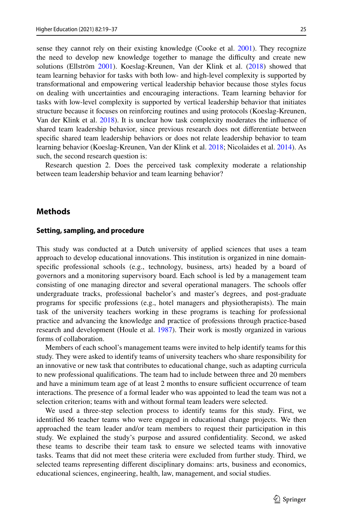sense they cannot rely on their existing knowledge (Cooke et al. [2001\)](#page-16-16). They recognize the need to develop new knowledge together to manage the difficulty and create new solutions (Ellström [2001\)](#page-16-11). Koeslag-Kreunen, Van der Klink et al. ([2018\)](#page-17-13) showed that team learning behavior for tasks with both low- and high-level complexity is supported by transformational and empowering vertical leadership behavior because those styles focus on dealing with uncertainties and encouraging interactions. Team learning behavior for tasks with low-level complexity is supported by vertical leadership behavior that initiates structure because it focuses on reinforcing routines and using protocols (Koeslag-Kreunen, Van der Klink et al. [2018\)](#page-17-13). It is unclear how task complexity moderates the infuence of shared team leadership behavior, since previous research does not diferentiate between specifc shared team leadership behaviors or does not relate leadership behavior to team learning behavior (Koeslag-Kreunen, Van der Klink et al. [2018](#page-17-13); Nicolaides et al. [2014](#page-17-10)). As such, the second research question is:

Research question 2. Does the perceived task complexity moderate a relationship between team leadership behavior and team learning behavior?

# **Methods**

#### **Setting, sampling, and procedure**

This study was conducted at a Dutch university of applied sciences that uses a team approach to develop educational innovations. This institution is organized in nine domainspecifc professional schools (e.g., technology, business, arts) headed by a board of governors and a monitoring supervisory board. Each school is led by a management team consisting of one managing director and several operational managers. The schools ofer undergraduate tracks, professional bachelor's and master's degrees, and post-graduate programs for specifc professions (e.g., hotel managers and physiotherapists). The main task of the university teachers working in these programs is teaching for professional practice and advancing the knowledge and practice of professions through practice-based research and development (Houle et al. [1987\)](#page-16-17). Their work is mostly organized in various forms of collaboration.

Members of each school's management teams were invited to help identify teams for this study. They were asked to identify teams of university teachers who share responsibility for an innovative or new task that contributes to educational change, such as adapting curricula to new professional qualifcations. The team had to include between three and 20 members and have a minimum team age of at least 2 months to ensure sufficient occurrence of team interactions. The presence of a formal leader who was appointed to lead the team was not a selection criterion; teams with and without formal team leaders were selected.

We used a three-step selection process to identify teams for this study. First, we identifed 86 teacher teams who were engaged in educational change projects. We then approached the team leader and/or team members to request their participation in this study. We explained the study's purpose and assured confdentiality. Second, we asked these teams to describe their team task to ensure we selected teams with innovative tasks. Teams that did not meet these criteria were excluded from further study. Third, we selected teams representing diferent disciplinary domains: arts, business and economics, educational sciences, engineering, health, law, management, and social studies.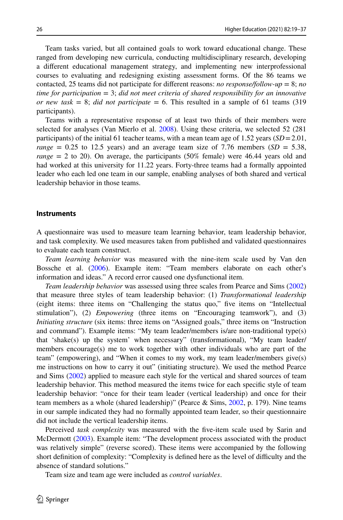Team tasks varied, but all contained goals to work toward educational change. These ranged from developing new curricula, conducting multidisciplinary research, developing a diferent educational management strategy, and implementing new interprofessional courses to evaluating and redesigning existing assessment forms. Of the 86 teams we contacted, 25 teams did not participate for diferent reasons: *no response/follow-up* = 8; *no time for participation* = 3; *did not meet criteria of shared responsibility for an innovative or new task*  $= 8$ ; *did not participate*  $= 6$ . This resulted in a sample of 61 teams (319) participants).

Teams with a representative response of at least two thirds of their members were selected for analyses (Van Mierlo et al. [2008\)](#page-18-3). Using these criteria, we selected 52 (281 participants) of the initial 61 teacher teams, with a mean team age of 1.52 years  $(SD=2.01,$ *range* =  $0.25$  to 12.5 years) and an average team size of 7.76 members (*SD* = 5.38, *range*  $= 2$  to 20). On average, the participants (50% female) were 46.44 years old and had worked at this university for 11.22 years. Forty-three teams had a formally appointed leader who each led one team in our sample, enabling analyses of both shared and vertical leadership behavior in those teams.

#### **Instruments**

A questionnaire was used to measure team learning behavior, team leadership behavior, and task complexity. We used measures taken from published and validated questionnaires to evaluate each team construct.

*Team learning behavior* was measured with the nine-item scale used by Van den Bossche et al. [\(2006](#page-18-0)). Example item: "Team members elaborate on each other's information and ideas." A record error caused one dysfunctional item.

*Team leadership behavior* was assessed using three scales from Pearce and Sims [\(2002](#page-17-9)) that measure three styles of team leadership behavior: (1) *Transformational leadership* (eight items: three items on "Challenging the status quo," fve items on "Intellectual stimulation"), (2) *Empowering* (three items on "Encouraging teamwork"), and (3) *Initiating structure* (six items: three items on "Assigned goals," three items on "Instruction and command"). Example items: "My team leader/members is/are non-traditional type(s) that 'shake(s) up the system' when necessary" (transformational), "My team leader/ members encourage(s) me to work together with other individuals who are part of the team" (empowering), and "When it comes to my work, my team leader/members give(s) me instructions on how to carry it out" (initiating structure). We used the method Pearce and Sims [\(2002](#page-17-9)) applied to measure each style for the vertical and shared sources of team leadership behavior. This method measured the items twice for each specifc style of team leadership behavior: "once for their team leader (vertical leadership) and once for their team members as a whole (shared leadership)" (Pearce & Sims,  $2002$ , p. 179). Nine teams in our sample indicated they had no formally appointed team leader, so their questionnaire did not include the vertical leadership items.

Perceived *task complexity* was measured with the five-item scale used by Sarin and McDermott [\(2003](#page-17-17)). Example item: "The development process associated with the product was relatively simple" (reverse scored). These items were accompanied by the following short definition of complexity: "Complexity is defined here as the level of difficulty and the absence of standard solutions."

Team size and team age were included as *control variables*.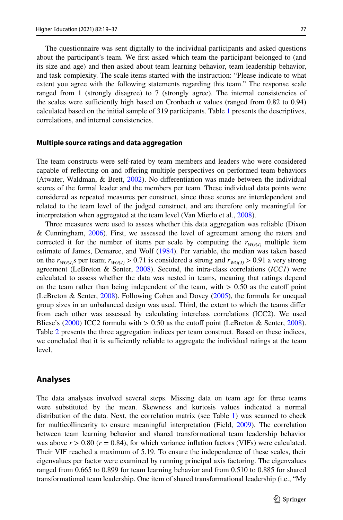The questionnaire was sent digitally to the individual participants and asked questions about the participant's team. We frst asked which team the participant belonged to (and its size and age) and then asked about team learning behavior, team leadership behavior, and task complexity. The scale items started with the instruction: "Please indicate to what extent you agree with the following statements regarding this team." The response scale ranged from 1 (strongly disagree) to 7 (strongly agree). The internal consistencies of the scales were sufficiently high based on Cronbach  $\alpha$  values (ranged from 0.82 to 0.94) calculated based on the initial sample of 319 participants. Table [1](#page-9-0) presents the descriptives, correlations, and internal consistencies.

#### **Multiple source ratings and data aggregation**

The team constructs were self-rated by team members and leaders who were considered capable of refecting on and ofering multiple perspectives on performed team behaviors (Atwater, Waldman, & Brett, [2002\)](#page-15-0). No diferentiation was made between the individual scores of the formal leader and the members per team. These individual data points were considered as repeated measures per construct, since these scores are interdependent and related to the team level of the judged construct, and are therefore only meaningful for interpretation when aggregated at the team level (Van Mierlo et al., [2008](#page-18-3)).

Three measures were used to assess whether this data aggregation was reliable (Dixon & Cunningham, [2006](#page-16-18)). First, we assessed the level of agreement among the raters and corrected it for the number of items per scale by computing the  $r_{WGH}$  multiple item estimate of James, Demaree, and Wolf ([1984\)](#page-17-18). Per variable, the median was taken based on the  $r_{WG(J)}$ s per team;  $r_{WG(J)} > 0.71$  is considered a strong and  $r_{WG(J)} > 0.91$  a very strong agreement (LeBreton & Senter, [2008](#page-17-19)). Second, the intra-class correlations (*ICC1*) were calculated to assess whether the data was nested in teams, meaning that ratings depend on the team rather than being independent of the team, with  $> 0.50$  as the cutoff point (LeBreton & Senter, [2008\)](#page-17-19). Following Cohen and Dovey ([2005\)](#page-16-19), the formula for unequal group sizes in an unbalanced design was used. Third, the extent to which the teams difer from each other was assessed by calculating interclass correlations (ICC2). We used Bliese's ([2000\)](#page-16-20) ICC2 formula with  $> 0.50$  as the cutoff point (LeBreton & Senter, [2008](#page-17-19)). Table [2](#page-10-0) presents the three aggregation indices per team construct. Based on these indices, we concluded that it is sufficiently reliable to aggregate the individual ratings at the team level.

### **Analyses**

The data analyses involved several steps. Missing data on team age for three teams were substituted by the mean. Skewness and kurtosis values indicated a normal distribution of the data. Next, the correlation matrix (see Table [1\)](#page-9-0) was scanned to check for multicollinearity to ensure meaningful interpretation (Field, [2009](#page-16-21)). The correlation between team learning behavior and shared transformational team leadership behavior was above  $r > 0.80$  ( $r = 0.84$ ), for which variance inflation factors (VIFs) were calculated. Their VIF reached a maximum of 5.19. To ensure the independence of these scales, their eigenvalues per factor were examined by running principal axis factoring. The eigenvalues ranged from 0.665 to 0.899 for team learning behavior and from 0.510 to 0.885 for shared transformational team leadership. One item of shared transformational leadership (i.e., "My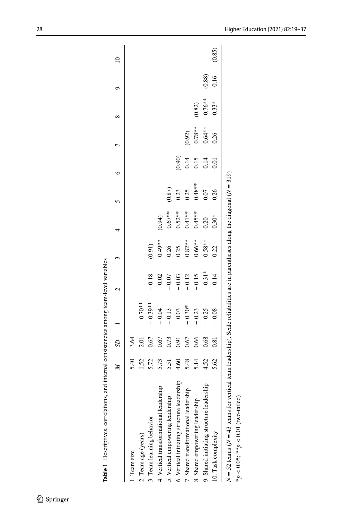|                                                                                                                                        | $\mathbb{Z}$ | GS   |                            |                                                 |                                              |                                                      |                    |                                  |                     | $^{\circ}$ | $\circ$                                       | $\approx$ |
|----------------------------------------------------------------------------------------------------------------------------------------|--------------|------|----------------------------|-------------------------------------------------|----------------------------------------------|------------------------------------------------------|--------------------|----------------------------------|---------------------|------------|-----------------------------------------------|-----------|
| 1. Team size                                                                                                                           | 5.40         | 3.64 |                            |                                                 |                                              |                                                      |                    |                                  |                     |            |                                               |           |
| 2. Team age (years)                                                                                                                    | 1.52         | 2.01 | $0.70**$                   |                                                 |                                              |                                                      |                    |                                  |                     |            |                                               |           |
| 3. Team learning behavior                                                                                                              | 5.72         | 0.67 | $-0.39**$                  |                                                 |                                              |                                                      |                    |                                  |                     |            |                                               |           |
| 4. Vertical transformational leadership                                                                                                | 5.73         | 0.67 | 0.04                       |                                                 |                                              |                                                      |                    |                                  |                     |            |                                               |           |
| 5. Vertical empowering leadership                                                                                                      | 5.51         | 0.73 | $-0.13$<br>0.03<br>- 0.30* | $-0.18$ $-0.02$ $-0.07$ $-0.03$ $-0.12$ $-0.15$ | $(0.91)$<br>0.49**<br>0.26<br>0.25<br>0.82** | $(0.94)$<br>0.67 **<br>0.52 **<br>0.45 **<br>0.45 ** | (0.87)             |                                  |                     |            |                                               |           |
| 6. Vertical initiating structure leadership                                                                                            | 4.60         | 0.91 |                            |                                                 |                                              |                                                      | 0.23               |                                  |                     |            |                                               |           |
| 7. Shared transformational leadership                                                                                                  | 5.48         | 0.67 |                            |                                                 |                                              |                                                      |                    | $(0.90)$<br>0.14<br>0.15<br>0.14 | (0.92)              |            |                                               |           |
| 8. Shared empowering leadership                                                                                                        | 5.14         | 0.66 | $-0.23$                    |                                                 | $0.66***$                                    |                                                      | $0.25$<br>$0.48**$ |                                  |                     | $(0.82)$   |                                               |           |
| 9. Shared initiating structure leadership                                                                                              | 4.52         | 0.68 | 0.25                       | $-0.31*$                                        | $0.58**$                                     | 0.20                                                 | 0.07               |                                  | $0.78***$<br>0.64** | $0.76***$  |                                               |           |
| 10. Task complexity                                                                                                                    | 5.62         | 0.81 | $-0.08$                    | $-0.14$                                         | 0.22                                         | $0.30*$                                              | 0.26               | $-0.01$                          | 0.26                | $0.33*$    | $\begin{array}{c} (0.88) \\ 0.16 \end{array}$ | (0.85)    |
| $N = 52$ teams ( $N = 43$ teams for vertical team leadership). Scale reliabilities are in parentheses along the diagonal ( $N = 319$ ) |              |      |                            |                                                 |                                              |                                                      |                    |                                  |                     |            |                                               |           |
| * $p < 0.05$ ; ** $p < 0.01$ (two-tailed)                                                                                              |              |      |                            |                                                 |                                              |                                                      |                    |                                  |                     |            |                                               |           |

Table 1 Descriptives, correlations, and internal consistencies among team-level variables **Table 1** Descriptives, correlations, and internal consistencies among team-level variables

<span id="page-9-0"></span> $\underline{\textcircled{\tiny 2}}$  Springer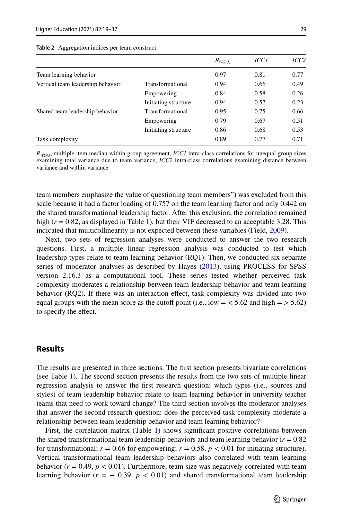|                                   |                      | $R_{WG(J)}$ | ICC1 | ICC <sub>2</sub> |
|-----------------------------------|----------------------|-------------|------|------------------|
| Team learning behavior            |                      | 0.97        | 0.81 | 0.77             |
| Vertical team leadership behavior | Transformational     | 0.94        | 0.66 | 0.49             |
|                                   | Empowering           | 0.84        | 0.58 | 0.26             |
|                                   | Initiating structure | 0.94        | 0.57 | 0.23             |
| Shared team leadership behavior   | Transformational     | 0.95        | 0.75 | 0.66             |
|                                   | Empowering           | 0.79        | 0.67 | 0.51             |
|                                   | Initiating structure | 0.86        | 0.68 | 0.53             |
| Task complexity                   |                      | 0.89        | 0.77 | 0.71             |

<span id="page-10-0"></span>

|  |  | <b>Table 2</b> Aggregation indices per team construct |  |  |  |
|--|--|-------------------------------------------------------|--|--|--|
|--|--|-------------------------------------------------------|--|--|--|

*RWG(J)* multiple item median within group agreement, *ICC1* intra-class correlations for unequal group sizes examining total variance due to team variance, *ICC2* intra-class correlations examining distance between variance and within variance

team members emphasize the value of questioning team members") was excluded from this scale because it had a factor loading of 0.757 on the team learning factor and only 0.442 on the shared transformational leadership factor. After this exclusion, the correlation remained high ( $r = 0.82$ , as displayed in Table [1\)](#page-9-0), but their VIF decreased to an acceptable 3.28. This indicated that multicollinearity is not expected between these variables (Field, [2009](#page-16-21)).

Next, two sets of regression analyses were conducted to answer the two research questions. First, a multiple linear regression analysis was conducted to test which leadership types relate to team learning behavior (RQ1). Then, we conducted six separate series of moderator analyses as described by Hayes ([2013\)](#page-16-22), using PROCESS for SPSS version 2.16.3 as a computational tool. These series tested whether perceived task complexity moderates a relationship between team leadership behavior and team learning behavior (RQ2). If there was an interaction effect, task complexity was divided into two equal groups with the mean score as the cutoff point (i.e., low =  $\lt$  5.62 and high =  $> 5.62$ ) to specify the effect.

### **Results**

The results are presented in three sections. The frst section presents bivariate correlations (see Table [1\)](#page-9-0). The second section presents the results from the two sets of multiple linear regression analysis to answer the frst research question: which types (i.e., sources and styles) of team leadership behavior relate to team learning behavior in university teacher teams that need to work toward change? The third section involves the moderator analyses that answer the second research question: does the perceived task complexity moderate a relationship between team leadership behavior and team learning behavior?

First, the correlation matrix (Table [1\)](#page-9-0) shows significant positive correlations between the shared transformational team leadership behaviors and team learning behavior ( $r = 0.82$ ) for transformational;  $r = 0.66$  for empowering;  $r = 0.58$ ,  $p < 0.01$  for initiating structure). Vertical transformational team leadership behaviors also correlated with team learning behavior ( $r = 0.49$ ,  $p < 0.01$ ). Furthermore, team size was negatively correlated with team learning behavior ( $r = -0.39$ ,  $p < 0.01$ ) and shared transformational team leadership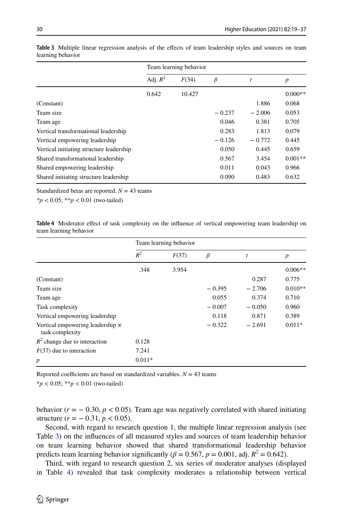|                                          |            | Team learning behavior |          |          |                  |
|------------------------------------------|------------|------------------------|----------|----------|------------------|
|                                          | Adj. $R^2$ | F(34)                  | β        | t        | $\boldsymbol{p}$ |
|                                          | 0.642      | 10.427                 |          |          | $0.000**$        |
| (Constant)                               |            |                        |          | 1.886    | 0.068            |
| Team size                                |            |                        | $-0.237$ | $-2.006$ | 0.053            |
| Team age                                 |            |                        | 0.046    | 0.381    | 0.705            |
| Vertical transformational leadership     |            |                        | 0.283    | 1.813    | 0.079            |
| Vertical empowering leadership           |            |                        | $-0.126$ | $-0.772$ | 0.445            |
| Vertical initiating structure leadership |            |                        | 0.050    | 0.445    | 0.659            |
| Shared transformational leadership       |            |                        | 0.567    | 3.454    | $0.001**$        |
| Shared empowering leadership             |            |                        | 0.011    | 0.043    | 0.966            |
| Shared initiating structure leadership   |            |                        | 0.090    | 0.483    | 0.632            |

<span id="page-11-0"></span>Table 3 Multiple linear regression analysis of the effects of team leadership styles and sources on team learning behavior

Standardized betas are reported.  $N = 43$  teams

*\*p* < 0.05; \*\**p* < 0.01 (two-tailed)

<span id="page-11-1"></span>

|                        |  |  |  | Table 4 Moderator effect of task complexity on the influence of vertical empowering team leadership on |  |  |
|------------------------|--|--|--|--------------------------------------------------------------------------------------------------------|--|--|
| team learning behavior |  |  |  |                                                                                                        |  |  |

|                                                            |          | Team learning behavior |          |          |                  |
|------------------------------------------------------------|----------|------------------------|----------|----------|------------------|
|                                                            | $R^2$    | F(37)                  | $\beta$  | t        | $\boldsymbol{p}$ |
|                                                            | .348     | 3.954                  |          |          | $0.006**$        |
| (Constant)                                                 |          |                        |          | 0.287    | 0.775            |
| Team size                                                  |          |                        | $-0.395$ | $-2.706$ | $0.010**$        |
| Team age                                                   |          |                        | 0.055    | 0.374    | 0.710            |
| Task complexity                                            |          |                        | $-0.007$ | $-0.050$ | 0.960            |
| Vertical empowering leadership                             |          |                        | 0.118    | 0.871    | 0.389            |
| Vertical empowering leadership $\times$<br>task complexity |          |                        | $-0.322$ | $-2.691$ | $0.011*$         |
| $R^2$ change due to interaction                            | 0.128    |                        |          |          |                  |
| $F(37)$ due to interaction                                 | 7.241    |                        |          |          |                  |
| $\boldsymbol{p}$                                           | $0.011*$ |                        |          |          |                  |

Reported coefficients are based on standardized variables.  $N = 43$  teams

\**p* < 0.05; \*\**p* < 0.01 (two-tailed)

behavior ( $r = -0.30$ ,  $p < 0.05$ ). Team age was negatively correlated with shared initiating structure  $(r = -0.31, p < 0.05)$ .

Second, with regard to research question 1, the multiple linear regression analysis (see Table [3\)](#page-11-0) on the infuences of all measured styles and sources of team leadership behavior on team learning behavior showed that shared transformational leadership behavior predicts team learning behavior significantly ( $\beta = 0.567$ ,  $p = 0.001$ , adj.  $R^2 = 0.642$ ).

Third, with regard to research question 2, six series of moderator analyses (displayed in Table [4\)](#page-11-1) revealed that task complexity moderates a relationship between vertical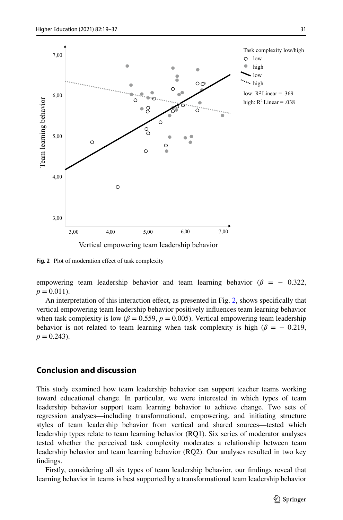

Vertical empowering team leadership behavior

<span id="page-12-0"></span>**Fig. 2** Plot of moderation effect of task complexity

empowering team leadership behavior and team learning behavior  $(\beta = -0.322)$ ,  $p = 0.011$ .

An interpretation of this interaction efect, as presented in Fig. [2](#page-12-0), shows specifcally that vertical empowering team leadership behavior positively infuences team learning behavior when task complexity is low ( $\beta$  = 0.559,  $p$  = 0.005). Vertical empowering team leadership behavior is not related to team learning when task complexity is high  $(\beta = -0.219,$  $p = 0.243$ .

# **Conclusion and discussion**

This study examined how team leadership behavior can support teacher teams working toward educational change. In particular, we were interested in which types of team leadership behavior support team learning behavior to achieve change. Two sets of regression analyses—including transformational, empowering, and initiating structure styles of team leadership behavior from vertical and shared sources—tested which leadership types relate to team learning behavior (RQ1). Six series of moderator analyses tested whether the perceived task complexity moderates a relationship between team leadership behavior and team learning behavior (RQ2). Our analyses resulted in two key fndings.

Firstly, considering all six types of team leadership behavior, our fndings reveal that learning behavior in teams is best supported by a transformational team leadership behavior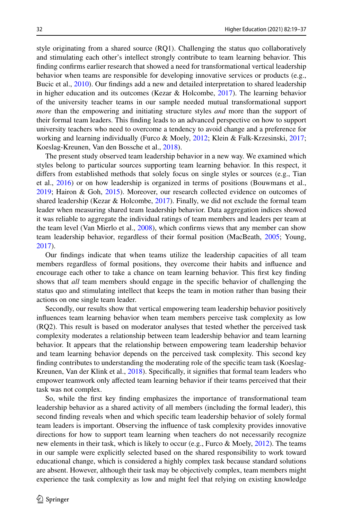style originating from a shared source (RQ1). Challenging the status quo collaboratively and stimulating each other's intellect strongly contribute to team learning behavior. This fnding confrms earlier research that showed a need for transformational vertical leadership behavior when teams are responsible for developing innovative services or products (e.g., Bucic et al., [2010\)](#page-16-10). Our fndings add a new and detailed interpretation to shared leadership in higher education and its outcomes (Kezar & Holcombe, [2017](#page-17-14)). The learning behavior of the university teacher teams in our sample needed mutual transformational support *more* than the empowering and initiating structure styles *and* more than the support of their formal team leaders. This fnding leads to an advanced perspective on how to support university teachers who need to overcome a tendency to avoid change and a preference for working and learning individually (Furco & Moely, [2012](#page-16-5); Klein & Falk-Krzesinski, [2017;](#page-17-7) Koeslag-Kreunen, Van den Bossche et al., [2018\)](#page-17-6).

The present study observed team leadership behavior in a new way. We examined which styles belong to particular sources supporting team learning behavior. In this respect, it difers from established methods that solely focus on single styles or sources (e.g., Tian et al., [2016](#page-17-15)) or on how leadership is organized in terms of positions (Bouwmans et al., [2019;](#page-16-9) Hairon & Goh, [2015\)](#page-16-8). Moreover, our research collected evidence on outcomes of shared leadership (Kezar & Holcombe, [2017\)](#page-17-14). Finally, we did not exclude the formal team leader when measuring shared team leadership behavior. Data aggregation indices showed it was reliable to aggregate the individual ratings of team members and leaders per team at the team level (Van Mierlo et al., [2008](#page-18-3)), which confrms views that any member can show team leadership behavior, regardless of their formal position (MacBeath, [2005](#page-17-12); Young, [2017\)](#page-18-2).

Our fndings indicate that when teams utilize the leadership capacities of all team members regardless of formal positions, they overcome their habits and infuence and encourage each other to take a chance on team learning behavior. This frst key fnding shows that *all* team members should engage in the specifc behavior of challenging the status quo and stimulating intellect that keeps the team in motion rather than basing their actions on one single team leader.

Secondly, our results show that vertical empowering team leadership behavior positively infuences team learning behavior when team members perceive task complexity as low (RQ2). This result is based on moderator analyses that tested whether the perceived task complexity moderates a relationship between team leadership behavior and team learning behavior. It appears that the relationship between empowering team leadership behavior and team learning behavior depends on the perceived task complexity. This second key fnding contributes to understanding the moderating role of the specifc team task (Koeslag-Kreunen, Van der Klink et al., [2018\)](#page-17-13). Specifcally, it signifes that formal team leaders who empower teamwork only afected team learning behavior if their teams perceived that their task was not complex.

So, while the frst key fnding emphasizes the importance of transformational team leadership behavior as a shared activity of all members (including the formal leader), this second fnding reveals when and which specifc team leadership behavior of solely formal team leaders is important. Observing the infuence of task complexity provides innovative directions for how to support team learning when teachers do not necessarily recognize new elements in their task, which is likely to occur (e.g., Furco & Moely, [2012](#page-16-5)). The teams in our sample were explicitly selected based on the shared responsibility to work toward educational change, which is considered a highly complex task because standard solutions are absent. However, although their task may be objectively complex, team members might experience the task complexity as low and might feel that relying on existing knowledge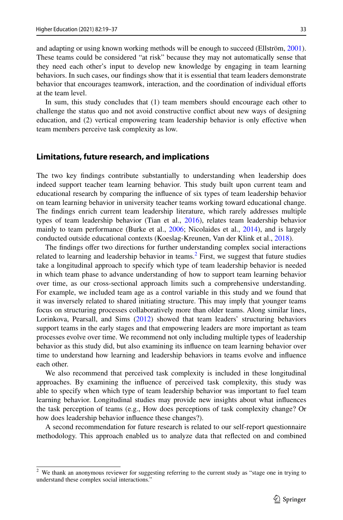and adapting or using known working methods will be enough to succeed (Ellström, [2001](#page-16-11)). These teams could be considered "at risk" because they may not automatically sense that they need each other's input to develop new knowledge by engaging in team learning behaviors. In such cases, our fndings show that it is essential that team leaders demonstrate behavior that encourages teamwork, interaction, and the coordination of individual efforts at the team level.

In sum, this study concludes that (1) team members should encourage each other to challenge the status quo and not avoid constructive confict about new ways of designing education, and (2) vertical empowering team leadership behavior is only efective when team members perceive task complexity as low.

### **Limitations, future research, and implications**

The two key fndings contribute substantially to understanding when leadership does indeed support teacher team learning behavior. This study built upon current team and educational research by comparing the infuence of six types of team leadership behavior on team learning behavior in university teacher teams working toward educational change. The fndings enrich current team leadership literature, which rarely addresses multiple types of team leadership behavior (Tian et al., [2016\)](#page-17-15), relates team leadership behavior mainly to team performance (Burke et al., [2006](#page-16-7); Nicolaides et al., [2014](#page-17-10)), and is largely conducted outside educational contexts (Koeslag-Kreunen, Van der Klink et al., [2018\)](#page-17-13).

The fndings ofer two directions for further understanding complex social interactions related to learning and leadership behavior in teams.<sup>[2](#page-14-0)</sup> First, we suggest that future studies take a longitudinal approach to specify which type of team leadership behavior is needed in which team phase to advance understanding of how to support team learning behavior over time, as our cross-sectional approach limits such a comprehensive understanding. For example, we included team age as a control variable in this study and we found that it was inversely related to shared initiating structure. This may imply that younger teams focus on structuring processes collaboratively more than older teams. Along similar lines, Lorinkova, Pearsall, and Sims [\(2012](#page-17-20)) showed that team leaders' structuring behaviors support teams in the early stages and that empowering leaders are more important as team processes evolve over time. We recommend not only including multiple types of leadership behavior as this study did, but also examining its infuence on team learning behavior over time to understand how learning and leadership behaviors in teams evolve and infuence each other.

We also recommend that perceived task complexity is included in these longitudinal approaches. By examining the infuence of perceived task complexity, this study was able to specify when which type of team leadership behavior was important to fuel team learning behavior. Longitudinal studies may provide new insights about what infuences the task perception of teams (e.g., How does perceptions of task complexity change? Or how does leadership behavior infuence these changes?).

A second recommendation for future research is related to our self-report questionnaire methodology. This approach enabled us to analyze data that refected on and combined

<span id="page-14-0"></span><sup>&</sup>lt;sup>2</sup> We thank an anonymous reviewer for suggesting referring to the current study as "stage one in trying to understand these complex social interactions."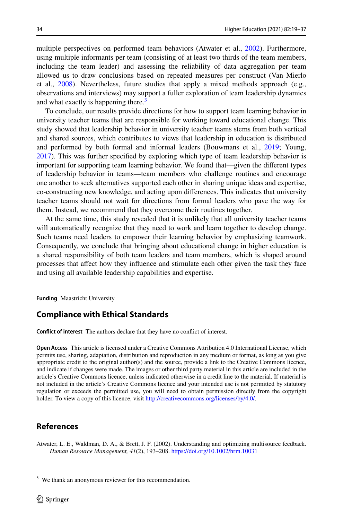multiple perspectives on performed team behaviors (Atwater et al., [2002](#page-15-0)). Furthermore, using multiple informants per team (consisting of at least two thirds of the team members, including the team leader) and assessing the reliability of data aggregation per team allowed us to draw conclusions based on repeated measures per construct (Van Mierlo et al., [2008](#page-18-3)). Nevertheless, future studies that apply a mixed methods approach (e.g., observations and interviews) may support a fuller exploration of team leadership dynamics and what exactly is happening there.<sup>[3](#page-15-1)</sup>

To conclude, our results provide directions for how to support team learning behavior in university teacher teams that are responsible for working toward educational change. This study showed that leadership behavior in university teacher teams stems from both vertical and shared sources, which contributes to views that leadership in education is distributed and performed by both formal and informal leaders (Bouwmans et al., [2019;](#page-16-9) Young, [2017\)](#page-18-2). This was further specifed by exploring which type of team leadership behavior is important for supporting team learning behavior. We found that—given the diferent types of leadership behavior in teams—team members who challenge routines and encourage one another to seek alternatives supported each other in sharing unique ideas and expertise, co-constructing new knowledge, and acting upon diferences. This indicates that university teacher teams should not wait for directions from formal leaders who pave the way for them. Instead, we recommend that they overcome their routines together.

At the same time, this study revealed that it is unlikely that all university teacher teams will automatically recognize that they need to work and learn together to develop change. Such teams need leaders to empower their learning behavior by emphasizing teamwork. Consequently, we conclude that bringing about educational change in higher education is a shared responsibility of both team leaders and team members, which is shaped around processes that afect how they infuence and stimulate each other given the task they face and using all available leadership capabilities and expertise.

**Funding** Maastricht University

## **Compliance with Ethical Standards**

**Confict of interest** The authors declare that they have no confict of interest.

**Open Access** This article is licensed under a Creative Commons Attribution 4.0 International License, which permits use, sharing, adaptation, distribution and reproduction in any medium or format, as long as you give appropriate credit to the original author(s) and the source, provide a link to the Creative Commons licence, and indicate if changes were made. The images or other third party material in this article are included in the article's Creative Commons licence, unless indicated otherwise in a credit line to the material. If material is not included in the article's Creative Commons licence and your intended use is not permitted by statutory regulation or exceeds the permitted use, you will need to obtain permission directly from the copyright holder. To view a copy of this licence, visit [http://creativecommons.org/licenses/by/4.0/.](http://creativecommons.org/licenses/by/4.0/)

### **References**

<span id="page-15-0"></span>Atwater, L. E., Waldman, D. A., & Brett, J. F. (2002). Understanding and optimizing multisource feedback. *Human Resource Management, 41*(2), 193–208. <https://doi.org/10.1002/hrm.10031>

<span id="page-15-1"></span>We thank an anonymous reviewer for this recommendation.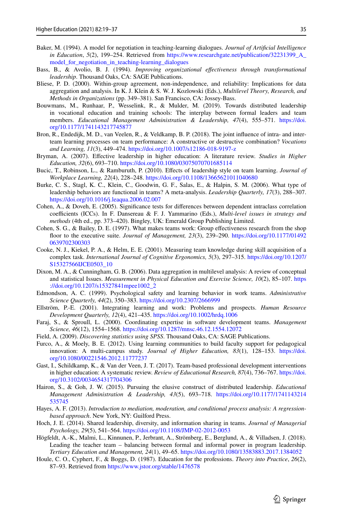- <span id="page-16-13"></span>Baker, M. (1994). A model for negotiation in teaching-learning dialogues. *Journal of Artifcial Intelligence in Education*, 5(2), 199–254. Retrieved from [https://www.researchgate.net/publication/32231399\\_A\\_](https://www.researchgate.net/publication/32231399_A_model_for_negotiation_in_teaching-learning_dialogues) model for negotiation in teaching-learning dialogues
- <span id="page-16-15"></span>Bass, B., & Avolio, B. J. (1994). *Improving organizational efectiveness through transformational leadership*. Thousand Oaks, CA: SAGE Publications.
- <span id="page-16-20"></span>Bliese, P. D. (2000). Within-group agreement, non-independence, and reliability: Implications for data aggregation and analysis. In K. J. Klein & S. W. J. Kozlowski (Eds.), *Multilevel Theory, Research, and Methods in Organizations* (pp. 349–381). San Francisco, CA: Jossey-Bass.
- <span id="page-16-9"></span>Bouwmans, M., Runhaar, P., Wesselink, R., & Mulder, M. (2019). Towards distributed leadership in vocational education and training schools: The interplay between formal leaders and team members. *Educational Management Administration & Leadership, 47*(4), 555–571. [https://doi.](https://doi.org/10.1177/1741143217745877) [org/10.1177/1741143217745877](https://doi.org/10.1177/1741143217745877)
- <span id="page-16-2"></span>Bron, R., Endedijk, M. D., van Veelen, R., & Veldkamp, B. P. (2018). The joint infuence of intra- and interteam learning processes on team performance: A constructive or destructive combination? *Vocations and Learning, 11*(3), 449–474. <https://doi.org/10.1007/s12186-018-9197-z>
- <span id="page-16-6"></span>Bryman, A. (2007). Efective leadership in higher education: A literature review. *Studies in Higher Education, 32*(6), 693–710.<https://doi.org/10.1080/03075070701685114>
- <span id="page-16-10"></span>Bucic, T., Robinson, L., & Ramburuth, P. (2010). Efects of leadership style on team learning. *Journal of Workplace Learning, 22*(4), 228–248. <https://doi.org/10.1108/13665621011040680>
- <span id="page-16-7"></span>Burke, C. S., Stagl, K. C., Klein, C., Goodwin, G. F., Salas, E., & Halpin, S. M. (2006). What type of leadership behaviors are functional in teams? A meta-analysis. *Leadership Quarterly, 17*(3), 288–307. <https://doi.org/10.1016/j.leaqua.2006.02.007>
- <span id="page-16-19"></span>Cohen, A., & Doveh, E. (2005). Signifcance tests for diferences between dependent intraclass correlation coefficients (ICCs). In F. Dansereau & F. J. Yammarino (Eds.), *Multi-level issues in strategy and methods* (4th ed., pp. 373–420). Bingley, UK: Emerald Group Publishing Limited.
- <span id="page-16-0"></span>Cohen, S. G., & Bailey, D. E. (1997). What makes teams work: Group efectiveness research from the shop foor to the executive suite. *Journal of Management, 23*(3), 239–290. [https://doi.org/10.1177/01492](https://doi.org/10.1177/014920639702300303) [0639702300303](https://doi.org/10.1177/014920639702300303)
- <span id="page-16-16"></span>Cooke, N. J., Kiekel, P. A., & Helm, E. E. (2001). Measuring team knowledge during skill acquisition of a complex task. *International Journal of Cognitive Ergonomics, 5*(3), 297–315. [https://doi.org/10.1207/](https://doi.org/10.1207/S15327566IJCE0503_10) [S15327566IJCE0503\\_10](https://doi.org/10.1207/S15327566IJCE0503_10)
- <span id="page-16-18"></span>Dixon, M. A., & Cunningham, G. B. (2006). Data aggregation in multilevel analysis: A review of conceptual and statistical Issues. *Measurement in Physical Education and Exercise Science, 10*(2), 85–107. [https](https://doi.org/10.1207/s15327841mpee1002_2) [://doi.org/10.1207/s15327841mpee1002\\_2](https://doi.org/10.1207/s15327841mpee1002_2)
- <span id="page-16-4"></span>Edmondson, A. C. (1999). Psychological safety and learning behavior in work teams. *Administrative Science Quarterly, 44*(2), 350–383. <https://doi.org/10.2307/2666999>
- <span id="page-16-11"></span>Ellström, P.-E. (2001). Integrating learning and work: Problems and prospects. *Human Resource Development Quarterly, 12*(4), 421–435.<https://doi.org/10.1002/hrdq.1006>
- <span id="page-16-12"></span>Faraj, S., & Sproull, L. (2000). Coordinating expertise in software development teams. *Management Science, 46*(12), 1554–1568. <https://doi.org/10.1287/mnsc.46.12.1554.12072>
- <span id="page-16-21"></span>Field, A. (2009). *Discovering statistics using SPSS*. Thousand Oaks, CA: SAGE Publications.
- <span id="page-16-5"></span>Furco, A., & Moely, B. E. (2012). Using learning communities to build faculty support for pedagogical innovation: A multi-campus study. *Journal of Higher Education, 83*(1), 128–153. [https://doi.](https://doi.org/10.1080/00221546.2012.11777237) [org/10.1080/00221546.2012.11777237](https://doi.org/10.1080/00221546.2012.11777237)
- <span id="page-16-1"></span>Gast, I., Schildkamp, K., & Van der Veen, J. T. (2017). Team-based professional development interventions in higher education: A systematic review. *Review of Educational Research, 87*(4), 736–767. [https://doi.](https://doi.org/10.3102/0034654317704306) [org/10.3102/0034654317704306](https://doi.org/10.3102/0034654317704306)
- <span id="page-16-8"></span>Hairon, S., & Goh, J. W. (2015). Pursuing the elusive construct of distributed leadership. *Educational Management Administration & Leadership, 43*(5), 693–718. [https://doi.org/10.1177/1741143214](https://doi.org/10.1177/1741143214535745) [535745](https://doi.org/10.1177/1741143214535745)
- <span id="page-16-22"></span>Hayes, A. F. (2013). *Introduction to mediation, moderation, and conditional process analysis: A regressionbased approach*. New York, NY: Guilford Press.
- <span id="page-16-3"></span>Hoch, J. E. (2014). Shared leadership, diversity, and information sharing in teams. *Journal of Managerial Psychology, 29*(5), 541–564. <https://doi.org/10.1108/JMP-02-2012-0053>
- <span id="page-16-14"></span>Högfeldt, A.-K., Malmi, L., Kinnunen, P., Jerbrant, A., Strömberg, E., Berglund, A., & Villadsen, J. (2018). Leading the teacher team – balancing between formal and informal power in program leadership. *Tertiary Education and Management, 24*(1), 49–65. <https://doi.org/10.1080/13583883.2017.1384052>
- <span id="page-16-17"></span>Houle, C. O., Cyphert, F., & Boggs, D. (1987). Education for the professions. *Theory into Practice*, *26*(2), 87–93. Retrieved from [https://www.jstor.org/stable/1476578](http://www.jstor.org/stable/1476578)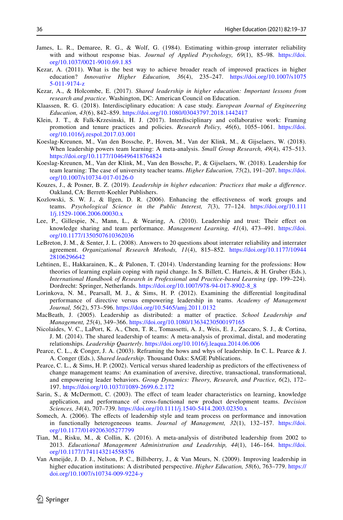- <span id="page-17-18"></span>James, L. R., Demaree, R. G., & Wolf, G. (1984). Estimating within-group interrater reliability with and without response bias. *Journal of Applied Psychology, 69*(1), 85–98. [https://doi.](https://doi.org/10.1037/0021-9010.69.1.85) [org/10.1037/0021-9010.69.1.85](https://doi.org/10.1037/0021-9010.69.1.85)
- <span id="page-17-2"></span>Kezar, A. (2011). What is the best way to achieve broader reach of improved practices in higher education? *Innovative Higher Education, 36*(4), 235–247. [https://doi.org/10.1007/s1075](https://doi.org/10.1007/s10755-011-9174-z) [5-011-9174-z](https://doi.org/10.1007/s10755-011-9174-z)
- <span id="page-17-14"></span>Kezar, A., & Holcombe, E. (2017). *Shared leadership in higher education: Important lessons from research and practice*. Washington, DC: American Council on Education.
- <span id="page-17-1"></span>Klaassen, R. G. (2018). Interdisciplinary education: A case study. *European Journal of Engineering Education, 43*(6), 842–859. <https://doi.org/10.1080/03043797.2018.1442417>
- <span id="page-17-7"></span>Klein, J. T., & Falk-Krzesinski, H. J. (2017). Interdisciplinary and collaborative work: Framing promotion and tenure practices and policies. *Research Policy, 46*(6), 1055–1061. [https://doi.](https://doi.org/10.1016/j.respol.2017.03.001) [org/10.1016/j.respol.2017.03.001](https://doi.org/10.1016/j.respol.2017.03.001)
- <span id="page-17-13"></span>Koeslag-Kreunen, M., Van den Bossche, P., Hoven, M., Van der Klink, M., & Gijselaers, W. (2018). When leadership powers team learning: A meta-analysis. *Small Group Research, 49*(4), 475–513. <https://doi.org/10.1177/1046496418764824>
- <span id="page-17-6"></span>Koeslag-Kreunen, M., Van der Klink, M., Van den Bossche, P., & Gijselaers, W. (2018). Leadership for team learning: The case of university teacher teams. *Higher Education, 75*(2), 191–207. [https://doi.](https://doi.org/10.1007/s10734-017-0126-0) [org/10.1007/s10734-017-0126-0](https://doi.org/10.1007/s10734-017-0126-0)
- <span id="page-17-8"></span>Kouzes, J., & Posner, B. Z. (2019). *Leadership in higher education: Practices that make a diference*. Oakland, CA: Berrett-Koehler Publishers.
- <span id="page-17-3"></span>Kozlowski, S. W. J., & Ilgen, D. R. (2006). Enhancing the efectiveness of work groups and teams. *Psychological Science in the Public Interest, 7*(3), 77–124. [https://doi.org/10.111](https://doi.org/10.1111/j.1529-1006.2006.00030.x) [1/j.1529-1006.2006.00030.x](https://doi.org/10.1111/j.1529-1006.2006.00030.x)
- <span id="page-17-4"></span>Lee, P., Gillespie, N., Mann, L., & Wearing, A. (2010). Leadership and trust: Their efect on knowledge sharing and team performance. *Management Learning, 41*(4), 473–491. [https://doi.](https://doi.org/10.1177/1350507610362036) [org/10.1177/1350507610362036](https://doi.org/10.1177/1350507610362036)
- <span id="page-17-19"></span>LeBreton, J. M., & Senter, J. L. (2008). Answers to 20 questions about interrater reliability and interrater agreement. *Organizational Research Methods, 11*(4), 815–852. [https://doi.org/10.1177/10944](https://doi.org/10.1177/1094428106296642) [28106296642](https://doi.org/10.1177/1094428106296642)
- <span id="page-17-0"></span>Lehtinen, E., Hakkarainen, K., & Palonen, T. (2014). Understanding learning for the professions: How theories of learning explain coping with rapid change. In S. Billett, C. Harteis, & H. Gruber (Eds.), *International Handbook of Research in Professional and Practice-based Learning* (pp. 199–224). Dordrecht: Springer, Netherlands. [https://doi.org/10.1007/978-94-017-8902-8\\_8](https://doi.org/10.1007/978-94-017-8902-8_8)
- <span id="page-17-20"></span>Lorinkova, N. M., Pearsall, M. J., & Sims, H. P. (2012). Examining the diferential longitudinal performance of directive versus empowering leadership in teams. *Academy of Management Journal, 56*(2), 573–596. <https://doi.org/10.5465/amj.2011.0132>
- <span id="page-17-12"></span>MacBeath, J. (2005). Leadership as distributed: a matter of practice. *School Leadership and Management, 25*(4), 349–366. <https://doi.org/10.1080/13634230500197165>
- <span id="page-17-10"></span>Nicolaides, V. C., LaPort, K. A., Chen, T. R., Tomassetti, A. J., Weis, E. J., Zaccaro, S. J., & Cortina, J. M. (2014). The shared leadership of teams: A meta-analysis of proximal, distal, and moderating relationships. *Leadership Quarterly*. <https://doi.org/10.1016/j.leaqua.2014.06.006>
- <span id="page-17-11"></span>Pearce, C. L., & Conger, J. A. (2003). Reframing the hows and whys of leadership. In C. L. Pearce & J. A. Conger (Eds.), *Shared leadership*. Thousand Oaks: SAGE Publications.
- <span id="page-17-9"></span>Pearce, C. L., & Sims, H. P. (2002). Vertical versus shared leadership as predictors of the efectiveness of change management teams: An examination of aversive, directive, transactional, transformational, and empowering leader behaviors. *Group Dynamics: Theory, Research, and Practice, 6*(2), 172– 197.<https://doi.org/10.1037//1089-2699.6.2.172>
- <span id="page-17-17"></span>Sarin, S., & McDermott, C. (2003). The effect of team leader characteristics on learning, knowledge application, and performance of cross-functional new product development teams. *Decision Sciences, 34*(4), 707–739. <https://doi.org/10.1111/j.1540-5414.2003.02350.x>
- <span id="page-17-5"></span>Somech, A. (2006). The efects of leadership style and team process on performance and innovation in functionally heterogeneous teams. *Journal of Management, 32*(1), 132–157. [https://doi.](https://doi.org/10.1177/0149206305277799) [org/10.1177/0149206305277799](https://doi.org/10.1177/0149206305277799)
- <span id="page-17-15"></span>Tian, M., Risku, M., & Collin, K. (2016). A meta-analysis of distributed leadership from 2002 to 2013. *Educational Management Administration and Leadership, 44*(1), 146–164. [https://doi.](https://doi.org/10.1177/1741143214558576) [org/10.1177/1741143214558576](https://doi.org/10.1177/1741143214558576)
- <span id="page-17-16"></span>Van Ameijde, J. D. J., Nelson, P. C., Billsberry, J., & Van Meurs, N. (2009). Improving leadership in higher education institutions: A distributed perspective. *Higher Education, 58*(6), 763–779. [https://](https://doi.org/10.1007/s10734-009-9224-y) [doi.org/10.1007/s10734-009-9224-y](https://doi.org/10.1007/s10734-009-9224-y)